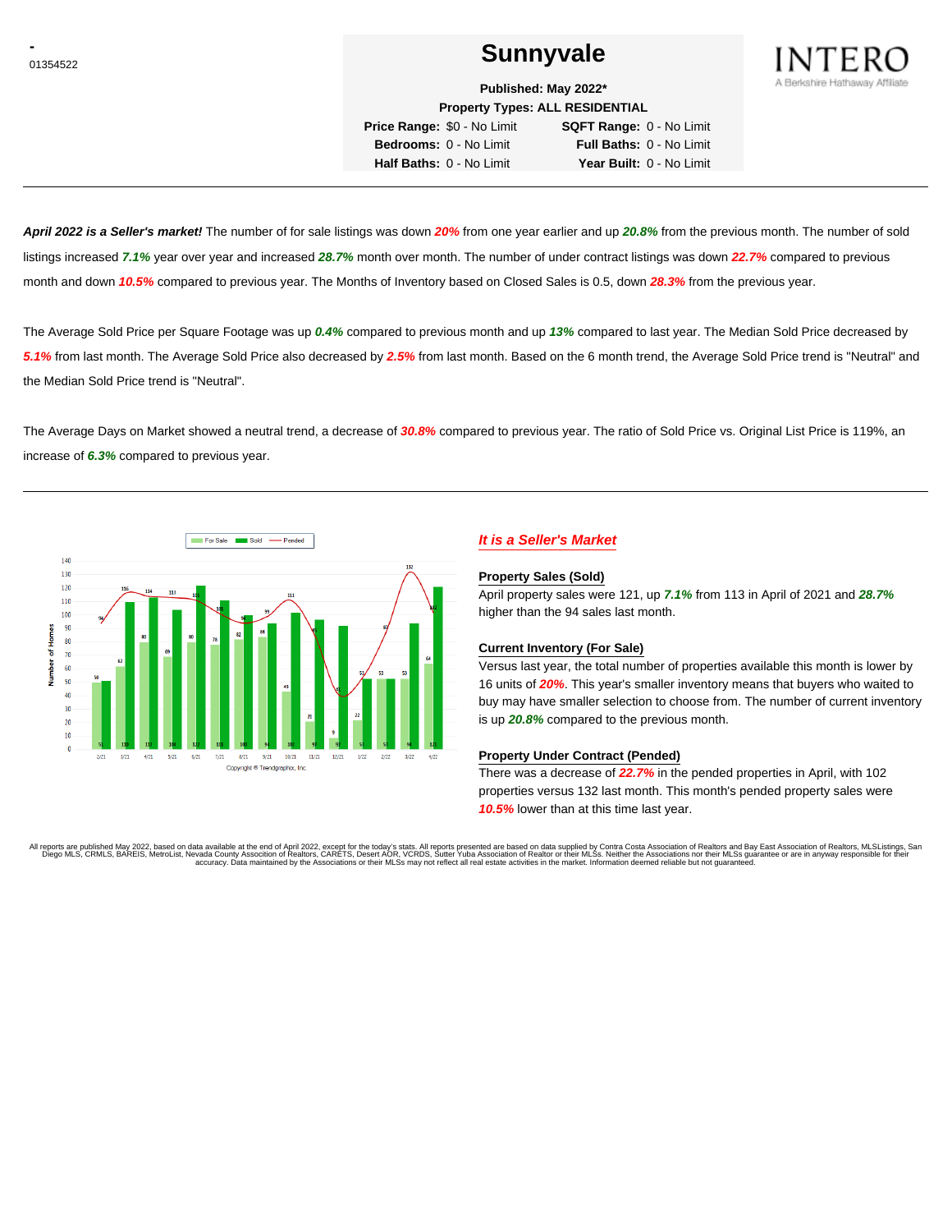# **CONSUMERENT SUNNYVALE**



**Published: May 2022\***

**Property Types: ALL RESIDENTIAL**

**Price Range:** \$0 - No Limit **SQFT Range:** 0 - No Limit **Bedrooms:** 0 - No Limit **Full Baths:** 0 - No Limit **Half Baths:** 0 - No Limit **Year Built:** 0 - No Limit

**April 2022 is a Seller's market!** The number of for sale listings was down **20%** from one year earlier and up **20.8%** from the previous month. The number of sold listings increased **7.1%** year over year and increased **28.7%** month over month. The number of under contract listings was down **22.7%** compared to previous month and down **10.5%** compared to previous year. The Months of Inventory based on Closed Sales is 0.5, down **28.3%** from the previous year.

The Average Sold Price per Square Footage was up **0.4%** compared to previous month and up **13%** compared to last year. The Median Sold Price decreased by **5.1%** from last month. The Average Sold Price also decreased by **2.5%** from last month. Based on the 6 month trend, the Average Sold Price trend is "Neutral" and the Median Sold Price trend is "Neutral".

The Average Days on Market showed a neutral trend, a decrease of **30.8%** compared to previous year. The ratio of Sold Price vs. Original List Price is 119%, an increase of **6.3%** compared to previous year.



# **It is a Seller's Market**

#### **Property Sales (Sold)**

April property sales were 121, up **7.1%** from 113 in April of 2021 and **28.7%** higher than the 94 sales last month.

#### **Current Inventory (For Sale)**

Versus last year, the total number of properties available this month is lower by 16 units of **20%**. This year's smaller inventory means that buyers who waited to buy may have smaller selection to choose from. The number of current inventory is up **20.8%** compared to the previous month.

#### **Property Under Contract (Pended)**

There was a decrease of **22.7%** in the pended properties in April, with 102 properties versus 132 last month. This month's pended property sales were **10.5%** lower than at this time last year.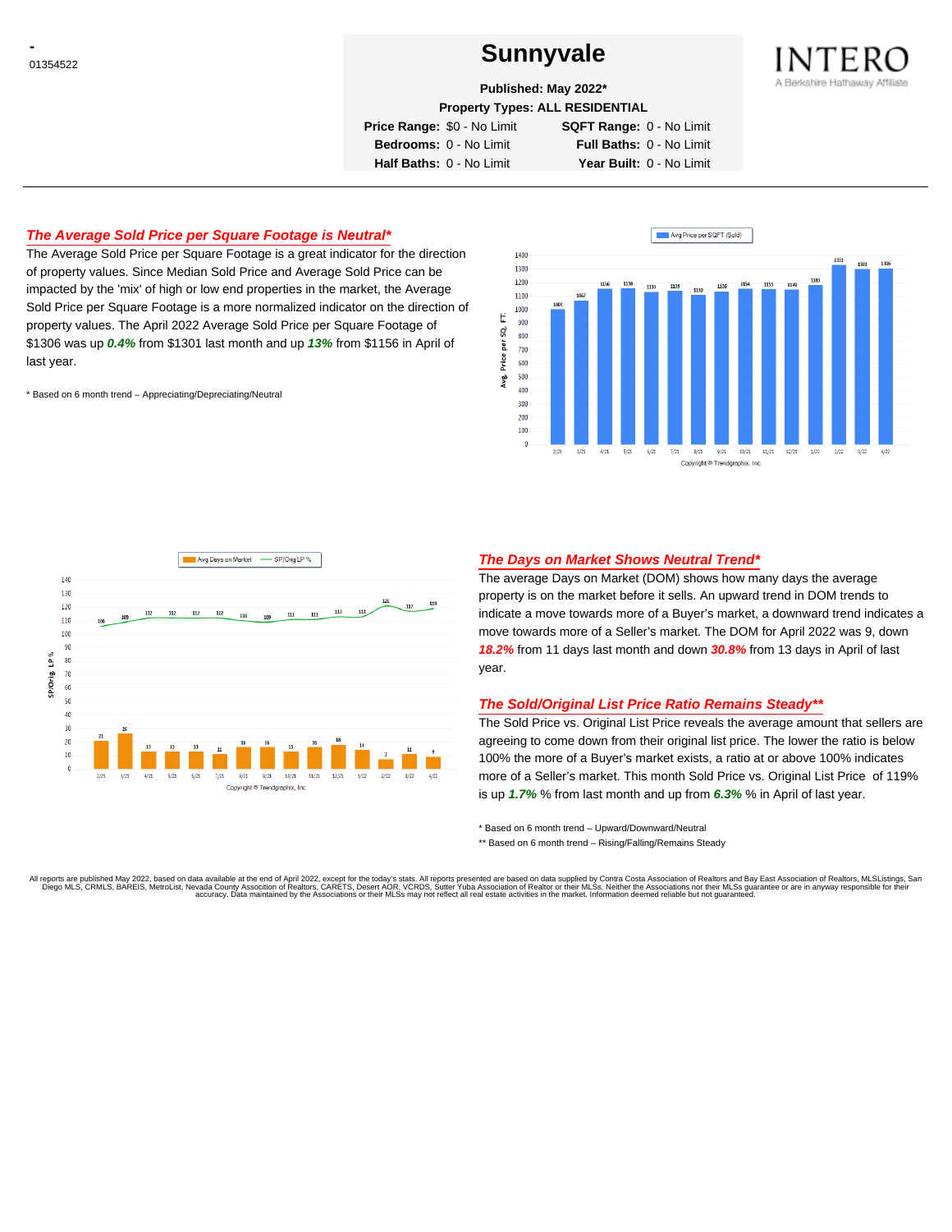# **CONSUMERENT SUNNYVALE**



**Published: May 2022\***

**Property Types: ALL RESIDENTIAL**

**Price Range:** \$0 - No Limit **SQFT Range:** 0 - No Limit **Bedrooms:** 0 - No Limit **Full Baths:** 0 - No Limit **Half Baths:** 0 - No Limit **Year Built:** 0 - No Limit

# **The Average Sold Price per Square Footage is Neutral\***

The Average Sold Price per Square Footage is a great indicator for the direction of property values. Since Median Sold Price and Average Sold Price can be impacted by the 'mix' of high or low end properties in the market, the Average Sold Price per Square Footage is a more normalized indicator on the direction of property values. The April 2022 Average Sold Price per Square Footage of \$1306 was up **0.4%** from \$1301 last month and up **13%** from \$1156 in April of last year.

\* Based on 6 month trend – Appreciating/Depreciating/Neutral





### **The Days on Market Shows Neutral Trend\***

The average Days on Market (DOM) shows how many days the average property is on the market before it sells. An upward trend in DOM trends to indicate a move towards more of a Buyer's market, a downward trend indicates a move towards more of a Seller's market. The DOM for April 2022 was 9, down **18.2%** from 11 days last month and down **30.8%** from 13 days in April of last year.

#### **The Sold/Original List Price Ratio Remains Steady\*\***

The Sold Price vs. Original List Price reveals the average amount that sellers are agreeing to come down from their original list price. The lower the ratio is below 100% the more of a Buyer's market exists, a ratio at or above 100% indicates more of a Seller's market. This month Sold Price vs. Original List Price of 119% is up **1.7%** % from last month and up from **6.3%** % in April of last year.

\* Based on 6 month trend – Upward/Downward/Neutral

\*\* Based on 6 month trend - Rising/Falling/Remains Steady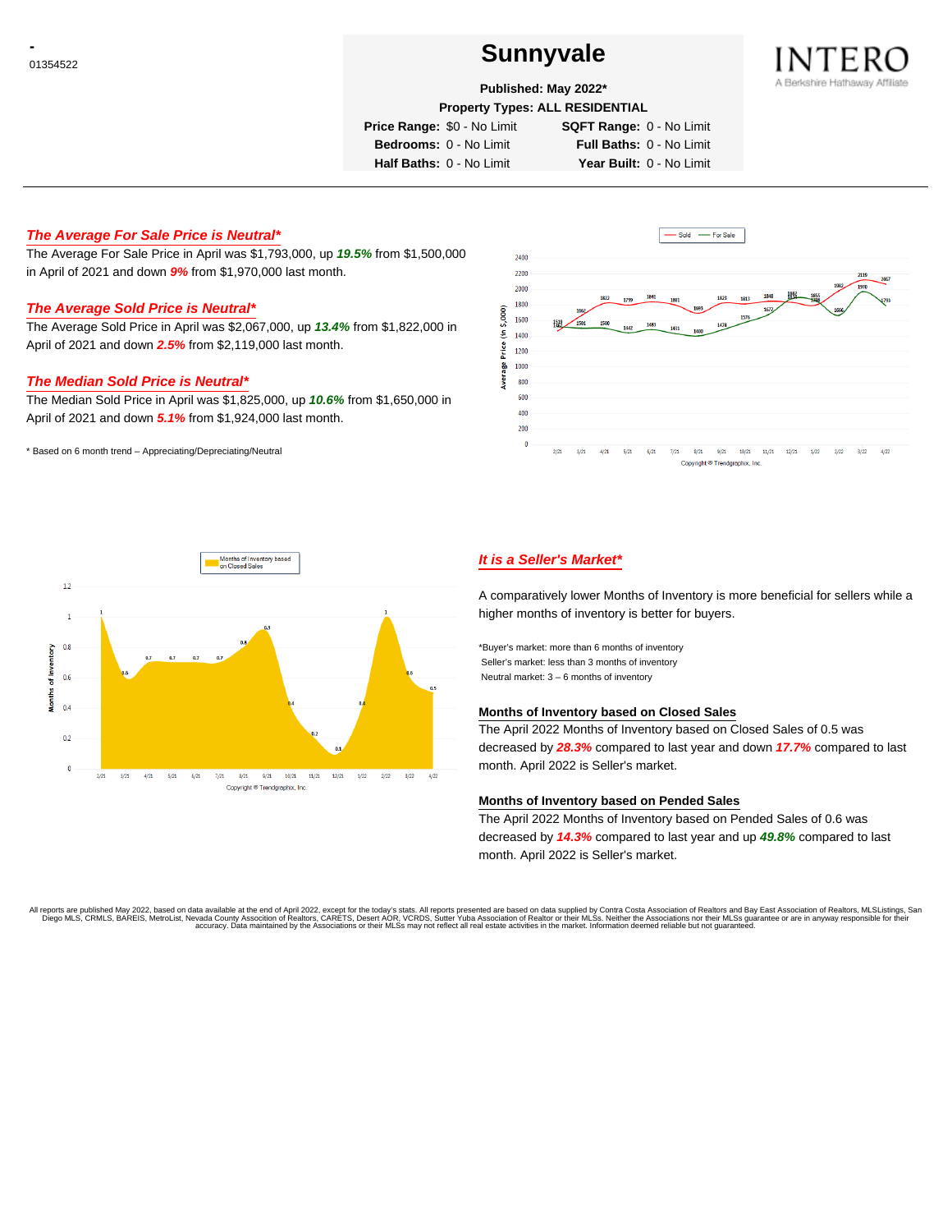# **CONSUMERENT SUNNYVALE**



### **Published: May 2022\***

**Property Types: ALL RESIDENTIAL**

**Price Range:** \$0 - No Limit **SQFT Range:** 0 - No Limit

**Bedrooms:** 0 - No Limit **Full Baths:** 0 - No Limit **Half Baths:** 0 - No Limit **Year Built:** 0 - No Limit

**The Average For Sale Price is Neutral\***

The Average For Sale Price in April was \$1,793,000, up **19.5%** from \$1,500,000 in April of 2021 and down **9%** from \$1,970,000 last month.

### **The Average Sold Price is Neutral\***

The Average Sold Price in April was \$2,067,000, up **13.4%** from \$1,822,000 in April of 2021 and down **2.5%** from \$2,119,000 last month.

# **The Median Sold Price is Neutral\***

The Median Sold Price in April was \$1,825,000, up **10.6%** from \$1,650,000 in April of 2021 and down **5.1%** from \$1,924,000 last month.

\* Based on 6 month trend – Appreciating/Depreciating/Neutral





# **It is a Seller's Market\***

A comparatively lower Months of Inventory is more beneficial for sellers while a higher months of inventory is better for buyers.

\*Buyer's market: more than 6 months of inventory Seller's market: less than 3 months of inventory Neutral market: 3 – 6 months of inventory

#### **Months of Inventory based on Closed Sales**

The April 2022 Months of Inventory based on Closed Sales of 0.5 was decreased by **28.3%** compared to last year and down **17.7%** compared to last month. April 2022 is Seller's market.

#### **Months of Inventory based on Pended Sales**

The April 2022 Months of Inventory based on Pended Sales of 0.6 was decreased by **14.3%** compared to last year and up **49.8%** compared to last month. April 2022 is Seller's market.